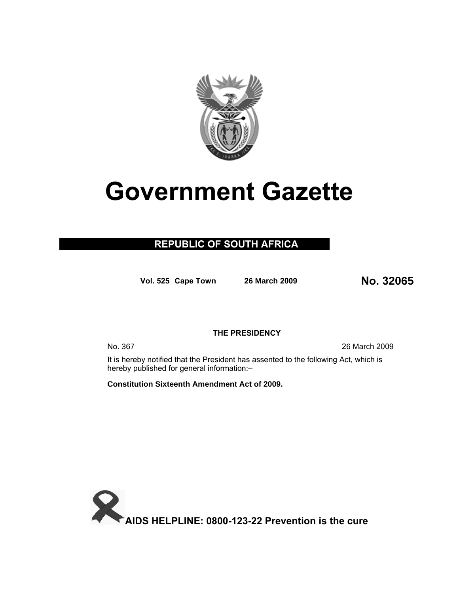

# **Government Gazette**

### **REPUBLIC OF SOUTH AFRICA**

**Vol. <sup>525</sup> Cape Town 26 March 200<sup>9</sup> No. 32065**

#### **THE PRESIDENCY**

No. 367 26 March 2009

It is hereby notified that the President has assented to the following Act, which is hereby published for general information:–

**Constitution Sixteenth Amendment Act of 2009.**